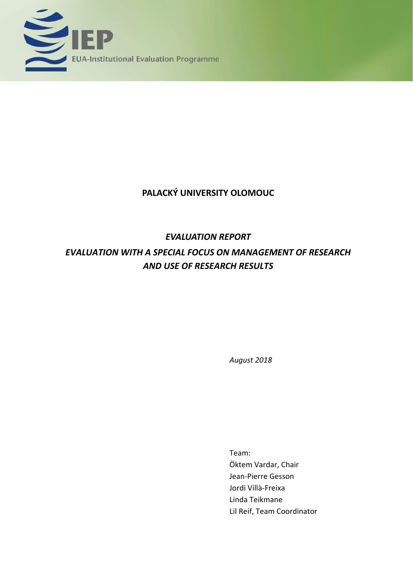

## **PALACKÝ UNIVERSITY OLOMOUC**

# *EVALUATION REPORT*

# *EVALUATION WITH A SPECIAL FOCUS ON MANAGEMENT OF RESEARCH AND USE OF RESEARCH RESULTS*

*August 2018*

Team: Öktem Vardar, Chair Jean-Pierre Gesson Jordi Villà-Freixa Linda Teikmane Lil Reif, Team Coordinator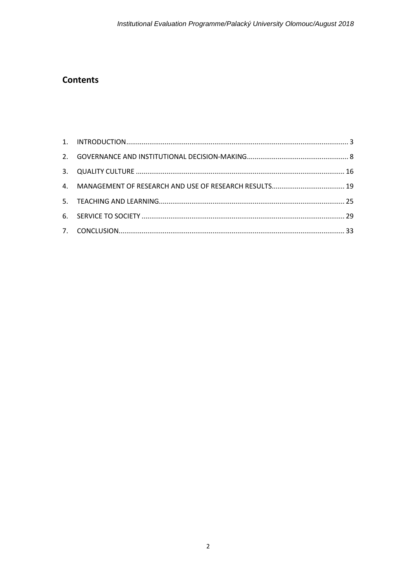## **Contents**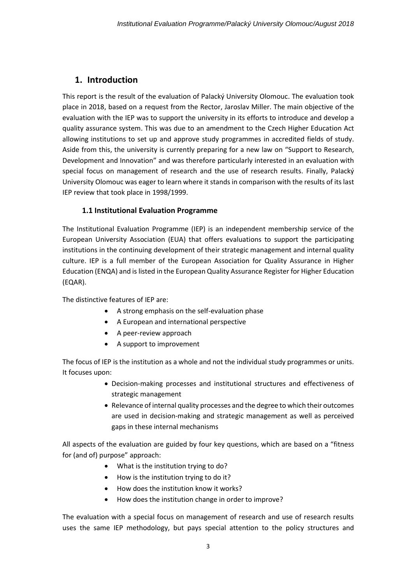## **1. Introduction**

This report is the result of the evaluation of Palacký University Olomouc. The evaluation took place in 2018, based on a request from the Rector, Jaroslav Miller. The main objective of the evaluation with the IEP was to support the university in its efforts to introduce and develop a quality assurance system. This was due to an amendment to the Czech Higher Education Act allowing institutions to set up and approve study programmes in accredited fields of study. Aside from this, the university is currently preparing for a new law on "Support to Research, Development and Innovation" and was therefore particularly interested in an evaluation with special focus on management of research and the use of research results. Finally, Palacký University Olomouc was eager to learn where it stands in comparison with the results of its last IEP review that took place in 1998/1999.

### **1.1 Institutional Evaluation Programme**

The Institutional Evaluation Programme (IEP) is an independent membership service of the European University Association (EUA) that offers evaluations to support the participating institutions in the continuing development of their strategic management and internal quality culture. IEP is a full member of the European Association for Quality Assurance in Higher Education (ENQA) and is listed in the European Quality Assurance Register for Higher Education (EQAR).

The distinctive features of IEP are:

- A strong emphasis on the self-evaluation phase
- A European and international perspective
- A peer-review approach
- A support to improvement

The focus of IEP is the institution as a whole and not the individual study programmes or units. It focuses upon:

- Decision-making processes and institutional structures and effectiveness of strategic management
- Relevance of internal quality processes and the degree to which their outcomes are used in decision-making and strategic management as well as perceived gaps in these internal mechanisms

All aspects of the evaluation are guided by four key questions, which are based on a "fitness for (and of) purpose" approach:

- What is the institution trying to do?
- How is the institution trying to do it?
- How does the institution know it works?
- How does the institution change in order to improve?

The evaluation with a special focus on management of research and use of research results uses the same IEP methodology, but pays special attention to the policy structures and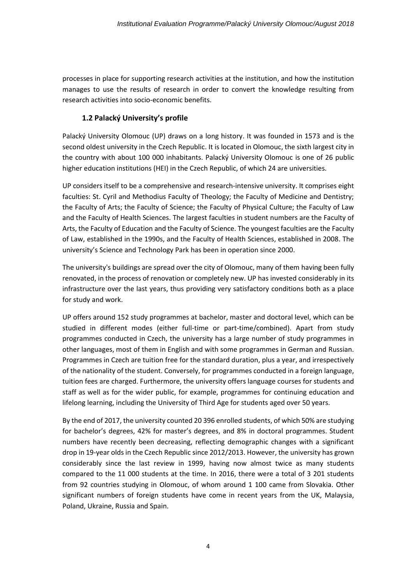processes in place for supporting research activities at the institution, and how the institution manages to use the results of research in order to convert the knowledge resulting from research activities into socio-economic benefits.

### **1.2 Palacký University's profile**

Palacký University Olomouc (UP) draws on a long history. It was founded in 1573 and is the second oldest university in the Czech Republic. It is located in Olomouc, the sixth largest city in the country with about 100 000 inhabitants. Palacký University Olomouc is one of 26 public higher education institutions (HEI) in the Czech Republic, of which 24 are universities.

UP considers itself to be a comprehensive and research-intensive university. It comprises eight faculties: St. Cyril and Methodius Faculty of Theology; the Faculty of Medicine and Dentistry; the Faculty of Arts; the Faculty of Science; the Faculty of Physical Culture; the Faculty of Law and the Faculty of Health Sciences. The largest faculties in student numbers are the Faculty of Arts, the Faculty of Education and the Faculty of Science. The youngest faculties are the Faculty of Law, established in the 1990s, and the Faculty of Health Sciences, established in 2008. The university's Science and Technology Park has been in operation since 2000.

The university's buildings are spread over the city of Olomouc, many of them having been fully renovated, in the process of renovation or completely new. UP has invested considerably in its infrastructure over the last years, thus providing very satisfactory conditions both as a place for study and work.

UP offers around 152 study programmes at bachelor, master and doctoral level, which can be studied in different modes (either full-time or part-time/combined). Apart from study programmes conducted in Czech, the university has a large number of study programmes in other languages, most of them in English and with some programmes in German and Russian. Programmes in Czech are tuition free for the standard duration, plus a year, and irrespectively of the nationality of the student. Conversely, for programmes conducted in a foreign language, tuition fees are charged. Furthermore, the university offers language courses for students and staff as well as for the wider public, for example, programmes for continuing education and lifelong learning, including the University of Third Age for students aged over 50 years.

By the end of 2017, the university counted 20 396 enrolled students, of which 50% are studying for bachelor's degrees, 42% for master's degrees, and 8% in doctoral programmes. Student numbers have recently been decreasing, reflecting demographic changes with a significant drop in 19-year olds in the Czech Republic since 2012/2013. However, the university has grown considerably since the last review in 1999, having now almost twice as many students compared to the 11 000 students at the time. In 2016, there were a total of 3 201 students from 92 countries studying in Olomouc, of whom around 1 100 came from Slovakia. Other significant numbers of foreign students have come in recent years from the UK, Malaysia, Poland, Ukraine, Russia and Spain.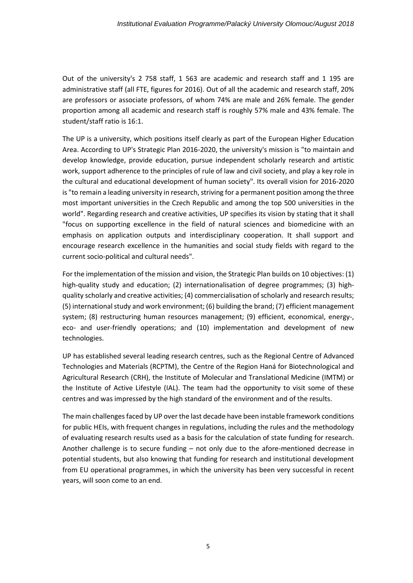Out of the university's 2 758 staff, 1 563 are academic and research staff and 1 195 are administrative staff (all FTE, figures for 2016). Out of all the academic and research staff, 20% are professors or associate professors, of whom 74% are male and 26% female. The gender proportion among all academic and research staff is roughly 57% male and 43% female. The student/staff ratio is 16:1.

The UP is a university, which positions itself clearly as part of the European Higher Education Area. According to UP's Strategic Plan 2016-2020, the university's mission is "to maintain and develop knowledge, provide education, pursue independent scholarly research and artistic work, support adherence to the principles of rule of law and civil society, and play a key role in the cultural and educational development of human society". Its overall vision for 2016-2020 is "to remain a leading university in research, striving for a permanent position among the three most important universities in the Czech Republic and among the top 500 universities in the world". Regarding research and creative activities, UP specifies its vision by stating that it shall "focus on supporting excellence in the field of natural sciences and biomedicine with an emphasis on application outputs and interdisciplinary cooperation. It shall support and encourage research excellence in the humanities and social study fields with regard to the current socio-political and cultural needs".

For the implementation of the mission and vision, the Strategic Plan builds on 10 objectives: (1) high-quality study and education; (2) internationalisation of degree programmes; (3) highquality scholarly and creative activities; (4) commercialisation of scholarly and research results; (5) international study and work environment; (6) building the brand; (7) efficient management system; (8) restructuring human resources management; (9) efficient, economical, energy-, eco- and user-friendly operations; and (10) implementation and development of new technologies.

UP has established several leading research centres, such as the Regional Centre of Advanced Technologies and Materials (RCPTM), the Centre of the Region Haná for Biotechnological and Agricultural Research (CRH), the Institute of Molecular and Translational Medicine (IMTM) or the Institute of Active Lifestyle (IAL). The team had the opportunity to visit some of these centres and was impressed by the high standard of the environment and of the results.

The main challengesfaced by UP over the last decade have been instable framework conditions for public HEIs, with frequent changes in regulations, including the rules and the methodology of evaluating research results used as a basis for the calculation of state funding for research. Another challenge is to secure funding – not only due to the afore-mentioned decrease in potential students, but also knowing that funding for research and institutional development from EU operational programmes, in which the university has been very successful in recent years, will soon come to an end.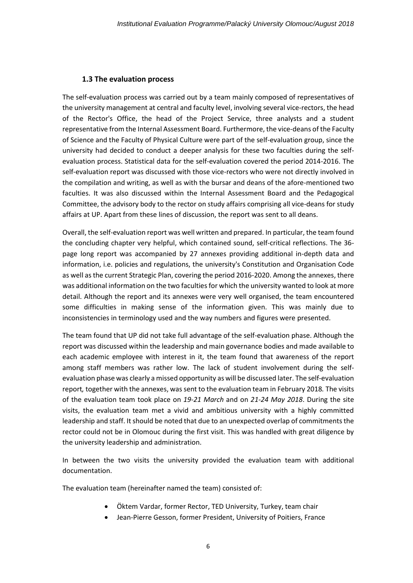### **1.3 The evaluation process**

The self-evaluation process was carried out by a team mainly composed of representatives of the university management at central and faculty level, involving several vice-rectors, the head of the Rector's Office, the head of the Project Service, three analysts and a student representative from the Internal Assessment Board. Furthermore, the vice-deans of the Faculty of Science and the Faculty of Physical Culture were part of the self-evaluation group, since the university had decided to conduct a deeper analysis for these two faculties during the selfevaluation process. Statistical data for the self-evaluation covered the period 2014-2016. The self-evaluation report was discussed with those vice-rectors who were not directly involved in the compilation and writing, as well as with the bursar and deans of the afore-mentioned two faculties. It was also discussed within the Internal Assessment Board and the Pedagogical Committee, the advisory body to the rector on study affairs comprising all vice-deans for study affairs at UP. Apart from these lines of discussion, the report was sent to all deans.

Overall, the self-evaluation report was well written and prepared. In particular, the team found the concluding chapter very helpful, which contained sound, self-critical reflections. The 36 page long report was accompanied by 27 annexes providing additional in-depth data and information, i.e. policies and regulations, the university's Constitution and Organisation Code as well as the current Strategic Plan, covering the period 2016-2020. Among the annexes, there was additional information on the two faculties for which the university wanted to look at more detail. Although the report and its annexes were very well organised, the team encountered some difficulties in making sense of the information given. This was mainly due to inconsistencies in terminology used and the way numbers and figures were presented.

The team found that UP did not take full advantage of the self-evaluation phase. Although the report was discussed within the leadership and main governance bodies and made available to each academic employee with interest in it, the team found that awareness of the report among staff members was rather low. The lack of student involvement during the selfevaluation phase was clearly a missed opportunity as will be discussed later. The self-evaluation report*,* together with the annexes, was sent to the evaluation team in February 2018*.* The visits of the evaluation team took place on *19-21 March* and on *21-24 May 2018*. During the site visits, the evaluation team met a vivid and ambitious university with a highly committed leadership and staff. It should be noted that due to an unexpected overlap of commitments the rector could not be in Olomouc during the first visit. This was handled with great diligence by the university leadership and administration.

In between the two visits the university provided the evaluation team with additional documentation.

The evaluation team (hereinafter named the team) consisted of:

- Öktem Vardar, former Rector, TED University, Turkey, team chair
- Jean-Pierre Gesson, former President, University of Poitiers, France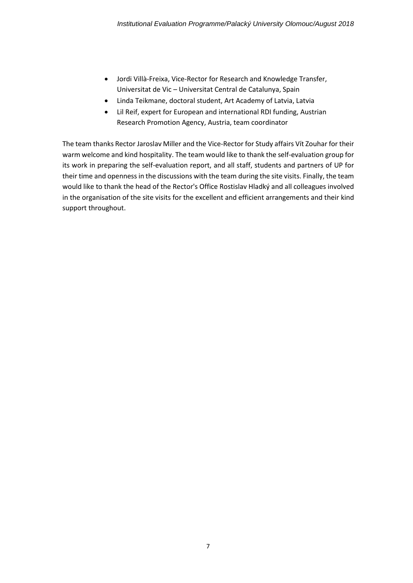- Jordi Villà-Freixa, Vice-Rector for Research and Knowledge Transfer, Universitat de Vic – Universitat Central de Catalunya, Spain
- Linda Teikmane, doctoral student, Art Academy of Latvia, Latvia
- Lil Reif, expert for European and international RDI funding, Austrian Research Promotion Agency, Austria, team coordinator

The team thanks Rector Jaroslav Miller and the Vice-Rector for Study affairs Vít Zouhar for their warm welcome and kind hospitality. The team would like to thank the self-evaluation group for its work in preparing the self-evaluation report, and all staff, students and partners of UP for their time and openness in the discussions with the team during the site visits. Finally, the team would like to thank the head of the Rector's Office Rostislav Hladký and all colleagues involved in the organisation of the site visits for the excellent and efficient arrangements and their kind support throughout.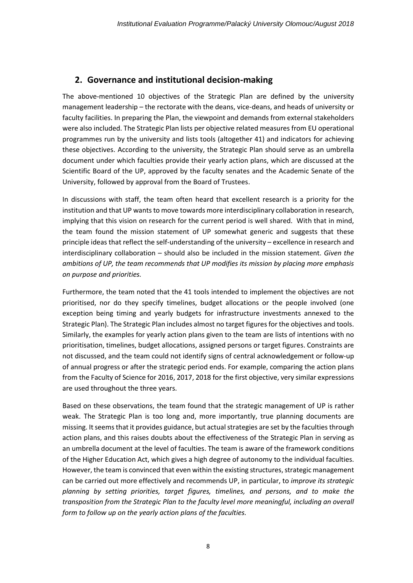## **2. Governance and institutional decision-making**

The above-mentioned 10 objectives of the Strategic Plan are defined by the university management leadership – the rectorate with the deans, vice-deans, and heads of university or faculty facilities. In preparing the Plan, the viewpoint and demands from external stakeholders were also included. The Strategic Plan lists per objective related measures from EU operational programmes run by the university and lists tools (altogether 41) and indicators for achieving these objectives. According to the university, the Strategic Plan should serve as an umbrella document under which faculties provide their yearly action plans, which are discussed at the Scientific Board of the UP, approved by the faculty senates and the Academic Senate of the University, followed by approval from the Board of Trustees.

In discussions with staff, the team often heard that excellent research is a priority for the institution and that UP wants to move towards more interdisciplinary collaboration in research, implying that this vision on research for the current period is well shared. With that in mind, the team found the mission statement of UP somewhat generic and suggests that these principle ideas that reflect the self-understanding of the university – excellence in research and interdisciplinary collaboration – should also be included in the mission statement. *Given the ambitions of UP, the team recommends that UP modifies its mission by placing more emphasis on purpose and priorities.*

Furthermore, the team noted that the 41 tools intended to implement the objectives are not prioritised, nor do they specify timelines, budget allocations or the people involved (one exception being timing and yearly budgets for infrastructure investments annexed to the Strategic Plan). The Strategic Plan includes almost no target figures for the objectives and tools. Similarly, the examples for yearly action plans given to the team are lists of intentions with no prioritisation, timelines, budget allocations, assigned persons or target figures. Constraints are not discussed, and the team could not identify signs of central acknowledgement or follow-up of annual progress or after the strategic period ends. For example, comparing the action plans from the Faculty of Science for 2016, 2017, 2018 for the first objective, very similar expressions are used throughout the three years.

Based on these observations, the team found that the strategic management of UP is rather weak. The Strategic Plan is too long and, more importantly, true planning documents are missing. It seems that it provides guidance, but actual strategies are set by the faculties through action plans, and this raises doubts about the effectiveness of the Strategic Plan in serving as an umbrella document at the level of faculties. The team is aware of the framework conditions of the Higher Education Act, which gives a high degree of autonomy to the individual faculties. However, the team is convinced that even within the existing structures, strategic management can be carried out more effectively and recommends UP, in particular, to *improve its strategic planning by setting priorities, target figures, timelines, and persons, and to make the transposition from the Strategic Plan to the faculty level more meaningful, including an overall form to follow up on the yearly action plans of the faculties.*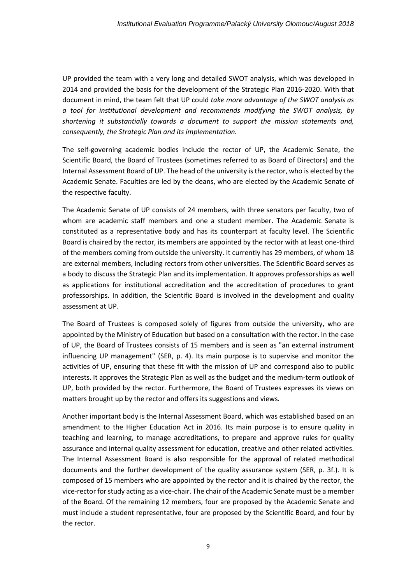UP provided the team with a very long and detailed SWOT analysis, which was developed in 2014 and provided the basis for the development of the Strategic Plan 2016-2020. With that document in mind, the team felt that UP could *take more advantage of the SWOT analysis as a tool for institutional development and recommends modifying the SWOT analysis, by shortening it substantially towards a document to support the mission statements and, consequently, the Strategic Plan and its implementation.*

The self-governing academic bodies include the rector of UP, the Academic Senate, the Scientific Board, the Board of Trustees (sometimes referred to as Board of Directors) and the Internal Assessment Board of UP. The head of the university is the rector, who is elected by the Academic Senate. Faculties are led by the deans, who are elected by the Academic Senate of the respective faculty.

The Academic Senate of UP consists of 24 members, with three senators per faculty, two of whom are academic staff members and one a student member. The Academic Senate is constituted as a representative body and has its counterpart at faculty level. The Scientific Board is chaired by the rector, its members are appointed by the rector with at least one-third of the members coming from outside the university. It currently has 29 members, of whom 18 are external members, including rectors from other universities. The Scientific Board serves as a body to discuss the Strategic Plan and its implementation. It approves professorships as well as applications for institutional accreditation and the accreditation of procedures to grant professorships. In addition, the Scientific Board is involved in the development and quality assessment at UP.

The Board of Trustees is composed solely of figures from outside the university, who are appointed by the Ministry of Education but based on a consultation with the rector. In the case of UP, the Board of Trustees consists of 15 members and is seen as "an external instrument influencing UP management" (SER, p. 4). Its main purpose is to supervise and monitor the activities of UP, ensuring that these fit with the mission of UP and correspond also to public interests. It approves the Strategic Plan as well as the budget and the medium-term outlook of UP, both provided by the rector. Furthermore, the Board of Trustees expresses its views on matters brought up by the rector and offers its suggestions and views.

Another important body is the Internal Assessment Board, which was established based on an amendment to the Higher Education Act in 2016. Its main purpose is to ensure quality in teaching and learning, to manage accreditations, to prepare and approve rules for quality assurance and internal quality assessment for education, creative and other related activities. The Internal Assessment Board is also responsible for the approval of related methodical documents and the further development of the quality assurance system (SER, p. 3f.). It is composed of 15 members who are appointed by the rector and it is chaired by the rector, the vice-rector for study acting as a vice-chair. The chair of the Academic Senate must be a member of the Board. Of the remaining 12 members, four are proposed by the Academic Senate and must include a student representative, four are proposed by the Scientific Board, and four by the rector.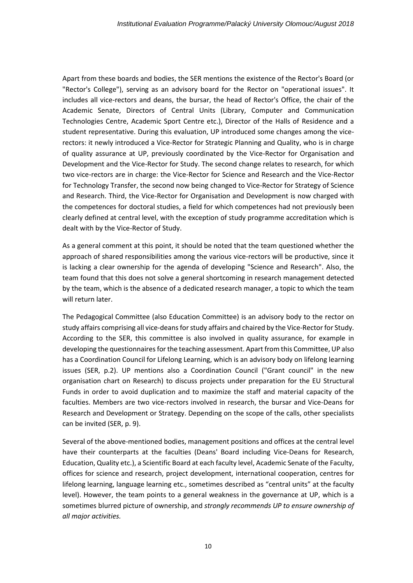Apart from these boards and bodies, the SER mentions the existence of the Rector's Board (or "Rector's College"), serving as an advisory board for the Rector on "operational issues". It includes all vice-rectors and deans, the bursar, the head of Rector's Office, the chair of the Academic Senate, Directors of Central Units (Library, Computer and Communication Technologies Centre, Academic Sport Centre etc.), Director of the Halls of Residence and a student representative. During this evaluation, UP introduced some changes among the vicerectors: it newly introduced a Vice-Rector for Strategic Planning and Quality, who is in charge of quality assurance at UP, previously coordinated by the Vice-Rector for Organisation and Development and the Vice-Rector for Study. The second change relates to research, for which two vice-rectors are in charge: the Vice-Rector for Science and Research and the Vice-Rector for Technology Transfer, the second now being changed to Vice-Rector for Strategy of Science and Research. Third, the Vice-Rector for Organisation and Development is now charged with the competences for doctoral studies, a field for which competences had not previously been clearly defined at central level, with the exception of study programme accreditation which is dealt with by the Vice-Rector of Study.

As a general comment at this point, it should be noted that the team questioned whether the approach of shared responsibilities among the various vice-rectors will be productive, since it is lacking a clear ownership for the agenda of developing "Science and Research". Also, the team found that this does not solve a general shortcoming in research management detected by the team, which is the absence of a dedicated research manager, a topic to which the team will return later.

The Pedagogical Committee (also Education Committee) is an advisory body to the rector on study affairs comprising all vice-deans for study affairs and chaired by the Vice-Rector for Study. According to the SER, this committee is also involved in quality assurance, for example in developing the questionnaires for the teaching assessment. Apart from this Committee, UP also has a Coordination Council for Lifelong Learning, which is an advisory body on lifelong learning issues (SER, p.2). UP mentions also a Coordination Council ("Grant council" in the new organisation chart on Research) to discuss projects under preparation for the EU Structural Funds in order to avoid duplication and to maximize the staff and material capacity of the faculties. Members are two vice-rectors involved in research, the bursar and Vice-Deans for Research and Development or Strategy. Depending on the scope of the calls, other specialists can be invited (SER, p. 9).

Several of the above-mentioned bodies, management positions and offices at the central level have their counterparts at the faculties (Deans' Board including Vice-Deans for Research, Education, Quality etc.), a Scientific Board at each faculty level, Academic Senate of the Faculty, offices for science and research, project development, international cooperation, centres for lifelong learning, language learning etc., sometimes described as "central units" at the faculty level). However, the team points to a general weakness in the governance at UP, which is a sometimes blurred picture of ownership, and *strongly recommends UP to ensure ownership of all major activities.*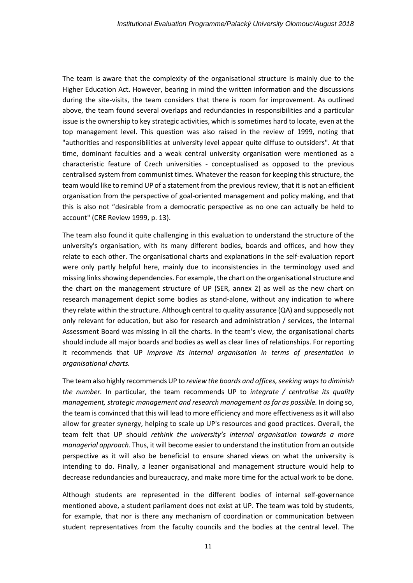The team is aware that the complexity of the organisational structure is mainly due to the Higher Education Act. However, bearing in mind the written information and the discussions during the site-visits, the team considers that there is room for improvement. As outlined above, the team found several overlaps and redundancies in responsibilities and a particular issue is the ownership to key strategic activities, which is sometimes hard to locate, even at the top management level. This question was also raised in the review of 1999, noting that "authorities and responsibilities at university level appear quite diffuse to outsiders". At that time, dominant faculties and a weak central university organisation were mentioned as a characteristic feature of Czech universities - conceptualised as opposed to the previous centralised system from communist times. Whatever the reason for keeping this structure, the team would like to remind UP of a statement from the previous review, that it is not an efficient organisation from the perspective of goal-oriented management and policy making, and that this is also not "desirable from a democratic perspective as no one can actually be held to account" (CRE Review 1999, p. 13).

The team also found it quite challenging in this evaluation to understand the structure of the university's organisation, with its many different bodies, boards and offices, and how they relate to each other. The organisational charts and explanations in the self-evaluation report were only partly helpful here, mainly due to inconsistencies in the terminology used and missing links showing dependencies. For example, the chart on the organisational structure and the chart on the management structure of UP (SER, annex 2) as well as the new chart on research management depict some bodies as stand-alone, without any indication to where they relate within the structure. Although central to quality assurance (QA) and supposedly not only relevant for education, but also for research and administration / services, the Internal Assessment Board was missing in all the charts. In the team's view, the organisational charts should include all major boards and bodies as well as clear lines of relationships. For reporting it recommends that UP *improve its internal organisation in terms of presentation in organisational charts.*

The team also highly recommends UP to *review the boards and offices, seeking ways to diminish the number.* In particular, the team recommends UP to *integrate / centralise its quality management, strategic management and research management as far as possible.* In doing so, the team is convinced that this will lead to more efficiency and more effectiveness as it will also allow for greater synergy, helping to scale up UP's resources and good practices. Overall, the team felt that UP should *rethink the university's internal organisation towards a more managerial approach.* Thus, it will become easier to understand the institution from an outside perspective as it will also be beneficial to ensure shared views on what the university is intending to do. Finally, a leaner organisational and management structure would help to decrease redundancies and bureaucracy, and make more time for the actual work to be done.

Although students are represented in the different bodies of internal self-governance mentioned above, a student parliament does not exist at UP. The team was told by students, for example, that nor is there any mechanism of coordination or communication between student representatives from the faculty councils and the bodies at the central level. The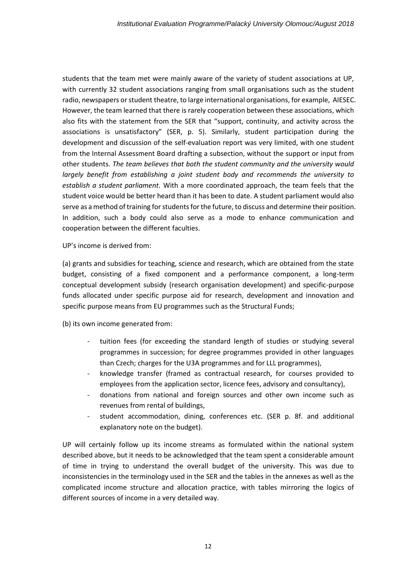students that the team met were mainly aware of the variety of student associations at UP, with currently 32 student associations ranging from small organisations such as the student radio, newspapers or student theatre, to large international organisations, for example, AIESEC. However, the team learned that there is rarely cooperation between these associations, which also fits with the statement from the SER that "support, continuity, and activity across the associations is unsatisfactory" (SER, p. 5). Similarly, student participation during the development and discussion of the self-evaluation report was very limited, with one student from the Internal Assessment Board drafting a subsection, without the support or input from other students. *The team believes that both the student community and the university would largely benefit from establishing a joint student body and recommends the university to establish a student parliament.* With a more coordinated approach, the team feels that the student voice would be better heard than it has been to date. A student parliament would also serve as a method of training for students for the future, to discuss and determine their position. In addition, such a body could also serve as a mode to enhance communication and cooperation between the different faculties.

UP's income is derived from:

(a) grants and subsidies for teaching, science and research, which are obtained from the state budget, consisting of a fixed component and a performance component, a long-term conceptual development subsidy (research organisation development) and specific-purpose funds allocated under specific purpose aid for research, development and innovation and specific purpose means from EU programmes such as the Structural Funds;

(b) its own income generated from:

- tuition fees (for exceeding the standard length of studies or studying several programmes in succession; for degree programmes provided in other languages than Czech; charges for the U3A programmes and for LLL programmes),
- knowledge transfer (framed as contractual research, for courses provided to employees from the application sector, licence fees, advisory and consultancy),
- donations from national and foreign sources and other own income such as revenues from rental of buildings,
- student accommodation, dining, conferences etc. (SER p. 8f. and additional explanatory note on the budget).

UP will certainly follow up its income streams as formulated within the national system described above, but it needs to be acknowledged that the team spent a considerable amount of time in trying to understand the overall budget of the university. This was due to inconsistencies in the terminology used in the SER and the tables in the annexes as well as the complicated income structure and allocation practice, with tables mirroring the logics of different sources of income in a very detailed way.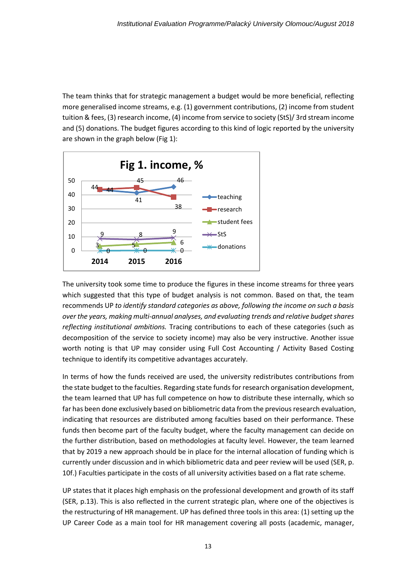The team thinks that for strategic management a budget would be more beneficial, reflecting more generalised income streams, e.g. (1) government contributions, (2) income from student tuition & fees, (3) research income, (4) income from service to society (StS)/ 3rd stream income and (5) donations. The budget figures according to this kind of logic reported by the university are shown in the graph below (Fig 1):



The university took some time to produce the figures in these income streams for three years which suggested that this type of budget analysis is not common. Based on that, the team recommends UP *to identify standard categories as above, following the income on such a basis over the years, making multi-annual analyses, and evaluating trends and relative budget shares reflecting institutional ambitions.* Tracing contributions to each of these categories (such as decomposition of the service to society income) may also be very instructive. Another issue worth noting is that UP may consider using Full Cost Accounting / Activity Based Costing technique to identify its competitive advantages accurately.

In terms of how the funds received are used, the university redistributes contributions from the state budget to the faculties. Regarding state funds for research organisation development, the team learned that UP has full competence on how to distribute these internally, which so far has been done exclusively based on bibliometric data from the previous research evaluation, indicating that resources are distributed among faculties based on their performance. These funds then become part of the faculty budget, where the faculty management can decide on the further distribution, based on methodologies at faculty level. However, the team learned that by 2019 a new approach should be in place for the internal allocation of funding which is currently under discussion and in which bibliometric data and peer review will be used (SER, p. 10f.) Faculties participate in the costs of all university activities based on a flat rate scheme.

UP states that it places high emphasis on the professional development and growth of its staff (SER, p.13). This is also reflected in the current strategic plan, where one of the objectives is the restructuring of HR management. UP has defined three tools in this area: (1) setting up the UP Career Code as a main tool for HR management covering all posts (academic, manager,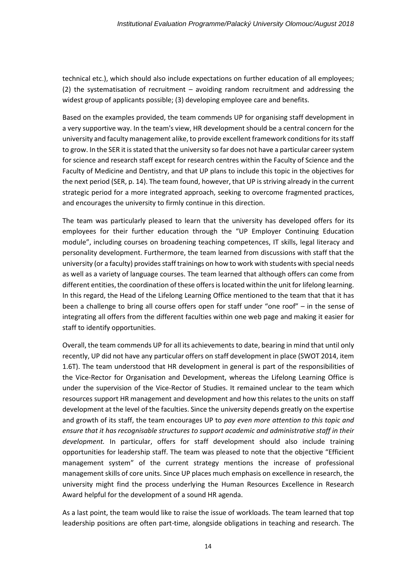technical etc.), which should also include expectations on further education of all employees; (2) the systematisation of recruitment – avoiding random recruitment and addressing the widest group of applicants possible; (3) developing employee care and benefits.

Based on the examples provided, the team commends UP for organising staff development in a very supportive way. In the team's view, HR development should be a central concern for the university and faculty management alike, to provide excellent framework conditions for its staff to grow. In the SER it is stated that the university so far does not have a particular career system for science and research staff except for research centres within the Faculty of Science and the Faculty of Medicine and Dentistry, and that UP plans to include this topic in the objectives for the next period (SER, p. 14). The team found, however, that UP is striving already in the current strategic period for a more integrated approach, seeking to overcome fragmented practices, and encourages the university to firmly continue in this direction.

The team was particularly pleased to learn that the university has developed offers for its employees for their further education through the "UP Employer Continuing Education module", including courses on broadening teaching competences, IT skills, legal literacy and personality development. Furthermore, the team learned from discussions with staff that the university (or a faculty) provides staff trainings on how to work with students with special needs as well as a variety of language courses. The team learned that although offers can come from different entities, the coordination of these offers is located within the unit for lifelong learning. In this regard, the Head of the Lifelong Learning Office mentioned to the team that that it has been a challenge to bring all course offers open for staff under "one roof" – in the sense of integrating all offers from the different faculties within one web page and making it easier for staff to identify opportunities.

Overall, the team commends UP for all its achievements to date, bearing in mind that until only recently, UP did not have any particular offers on staff development in place (SWOT 2014, item 1.6T). The team understood that HR development in general is part of the responsibilities of the Vice-Rector for Organisation and Development, whereas the Lifelong Learning Office is under the supervision of the Vice-Rector of Studies. It remained unclear to the team which resources support HR management and development and how this relates to the units on staff development at the level of the faculties. Since the university depends greatly on the expertise and growth of its staff, the team encourages UP to *pay even more attention to this topic and ensure that it has recognisable structures to support academic and administrative staff in their development.* In particular, offers for staff development should also include training opportunities for leadership staff. The team was pleased to note that the objective "Efficient management system" of the current strategy mentions the increase of professional management skills of core units. Since UP places much emphasis on excellence in research, the university might find the process underlying the Human Resources Excellence in Research Award helpful for the development of a sound HR agenda.

As a last point, the team would like to raise the issue of workloads. The team learned that top leadership positions are often part-time, alongside obligations in teaching and research. The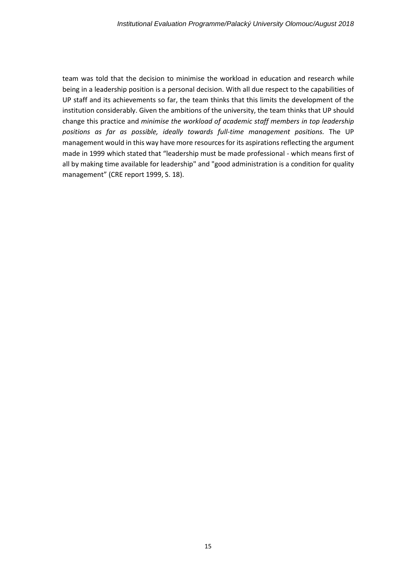team was told that the decision to minimise the workload in education and research while being in a leadership position is a personal decision. With all due respect to the capabilities of UP staff and its achievements so far, the team thinks that this limits the development of the institution considerably. Given the ambitions of the university, the team thinks that UP should change this practice and *minimise the workload of academic staff members in top leadership positions as far as possible, ideally towards full-time management positions.* The UP management would in this way have more resources for its aspirations reflecting the argument made in 1999 which stated that "leadership must be made professional - which means first of all by making time available for leadership" and "good administration is a condition for quality management" (CRE report 1999, S. 18).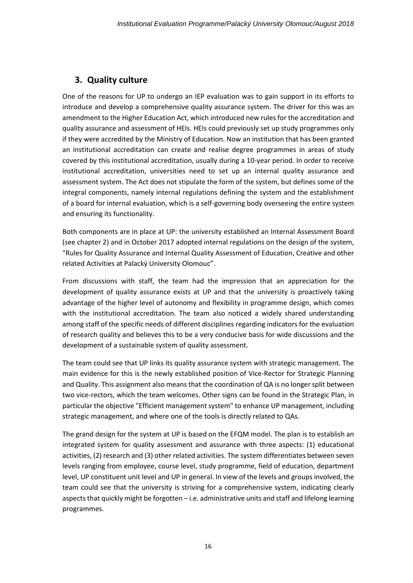## **3. Quality culture**

One of the reasons for UP to undergo an IEP evaluation was to gain support in its efforts to introduce and develop a comprehensive quality assurance system. The driver for this was an amendment to the Higher Education Act, which introduced new rules for the accreditation and quality assurance and assessment of HEIs. HEIs could previously set up study programmes only if they were accredited by the Ministry of Education. Now an institution that has been granted an institutional accreditation can create and realise degree programmes in areas of study covered by this institutional accreditation, usually during a 10-year period. In order to receive institutional accreditation, universities need to set up an internal quality assurance and assessment system. The Act does not stipulate the form of the system, but defines some of the integral components, namely internal regulations defining the system and the establishment of a board for internal evaluation, which is a self-governing body overseeing the entire system and ensuring its functionality.

Both components are in place at UP: the university established an Internal Assessment Board (see chapter 2) and in October 2017 adopted internal regulations on the design of the system, "Rules for Quality Assurance and Internal Quality Assessment of Education, Creative and other related Activities at Palacký University Olomouc".

From discussions with staff, the team had the impression that an appreciation for the development of quality assurance exists at UP and that the university is proactively taking advantage of the higher level of autonomy and flexibility in programme design, which comes with the institutional accreditation. The team also noticed a widely shared understanding among staff of the specific needs of different disciplines regarding indicators for the evaluation of research quality and believes this to be a very conducive basis for wide discussions and the development of a sustainable system of quality assessment.

The team could see that UP links its quality assurance system with strategic management. The main evidence for this is the newly established position of Vice-Rector for Strategic Planning and Quality. This assignment also means that the coordination of QA is no longer split between two vice-rectors, which the team welcomes. Other signs can be found in the Strategic Plan, in particular the objective "Efficient management system" to enhance UP management, including strategic management, and where one of the tools is directly related to QAs.

The grand design for the system at UP is based on the EFQM model. The plan is to establish an integrated system for quality assessment and assurance with three aspects: (1) educational activities, (2) research and (3) other related activities. The system differentiates between seven levels ranging from employee, course level, study programme, field of education, department level, UP constituent unit level and UP in general. In view of the levels and groups involved, the team could see that the university is striving for a comprehensive system, indicating clearly aspects that quickly might be forgotten – i.e. administrative units and staff and lifelong learning programmes.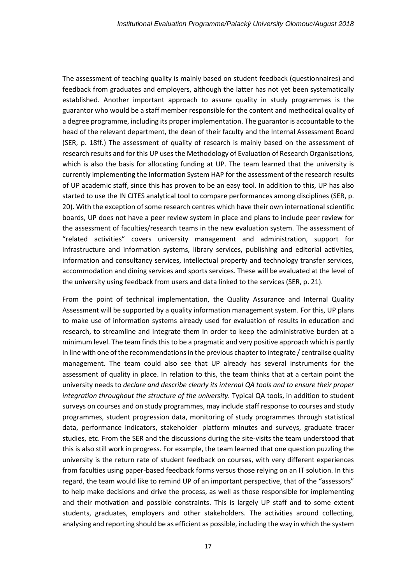The assessment of teaching quality is mainly based on student feedback (questionnaires) and feedback from graduates and employers, although the latter has not yet been systematically established. Another important approach to assure quality in study programmes is the guarantor who would be a staff member responsible for the content and methodical quality of a degree programme, including its proper implementation. The guarantor is accountable to the head of the relevant department, the dean of their faculty and the Internal Assessment Board (SER, p. 18ff.) The assessment of quality of research is mainly based on the assessment of research results and for this UP uses the Methodology of Evaluation of Research Organisations, which is also the basis for allocating funding at UP. The team learned that the university is currently implementing the Information System HAP for the assessment of the research results of UP academic staff, since this has proven to be an easy tool. In addition to this, UP has also started to use the IN CITES analytical tool to compare performances among disciplines (SER, p. 20). With the exception of some research centres which have their own international scientific boards, UP does not have a peer review system in place and plans to include peer review for the assessment of faculties/research teams in the new evaluation system. The assessment of "related activities" covers university management and administration, support for infrastructure and information systems, library services, publishing and editorial activities, information and consultancy services, intellectual property and technology transfer services, accommodation and dining services and sports services. These will be evaluated at the level of the university using feedback from users and data linked to the services (SER, p. 21).

From the point of technical implementation, the Quality Assurance and Internal Quality Assessment will be supported by a quality information management system. For this, UP plans to make use of information systems already used for evaluation of results in education and research, to streamline and integrate them in order to keep the administrative burden at a minimum level. The team finds this to be a pragmatic and very positive approach which is partly in line with one of the recommendations in the previous chapter to integrate  $/$  centralise quality management. The team could also see that UP already has several instruments for the assessment of quality in place. In relation to this, the team thinks that at a certain point the university needs to *declare and describe clearly its internal QA tools and to ensure their proper integration throughout the structure of the university.* Typical QA tools, in addition to student surveys on courses and on study programmes, may include staff response to courses and study programmes, student progression data, monitoring of study programmes through statistical data, performance indicators, stakeholder platform minutes and surveys, graduate tracer studies, etc. From the SER and the discussions during the site-visits the team understood that this is also still work in progress. For example, the team learned that one question puzzling the university is the return rate of student feedback on courses, with very different experiences from faculties using paper-based feedback forms versus those relying on an IT solution. In this regard, the team would like to remind UP of an important perspective, that of the "assessors" to help make decisions and drive the process, as well as those responsible for implementing and their motivation and possible constraints. This is largely UP staff and to some extent students, graduates, employers and other stakeholders. The activities around collecting, analysing and reporting should be as efficient as possible, including the way in which the system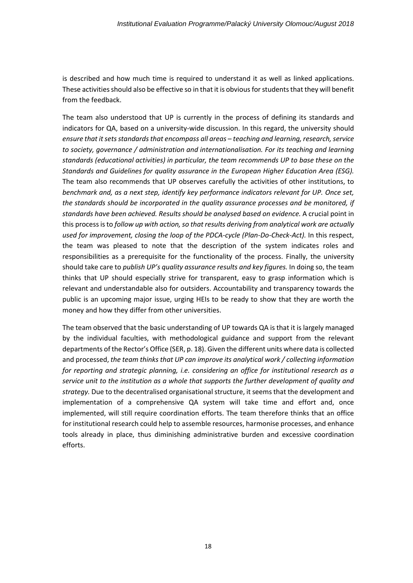is described and how much time is required to understand it as well as linked applications. These activities should also be effective so in that it is obvious for students that they will benefit from the feedback.

The team also understood that UP is currently in the process of defining its standards and indicators for QA, based on a university-wide discussion. In this regard, the university should *ensure that it sets standards that encompass all areas – teaching and learning, research, service to society, governance / administration and internationalisation. For its teaching and learning standards (educational activities) in particular, the team recommends UP to base these on the Standards and Guidelines for quality assurance in the European Higher Education Area (ESG).* The team also recommends that UP observes carefully the activities of other institutions, to *benchmark and, as a next step, identify key performance indicators relevant for UP. Once set, the standards should be incorporated in the quality assurance processes and be monitored, if standards have been achieved. Results should be analysed based on evidence.* A crucial point in this process is to *follow up with action, so that results deriving from analytical work are actually used for improvement, closing the loop of the PDCA-cycle (Plan-Do-Check-Act).* In this respect, the team was pleased to note that the description of the system indicates roles and responsibilities as a prerequisite for the functionality of the process. Finally, the university should take care to *publish UP's quality assurance results and key figures.* In doing so, the team thinks that UP should especially strive for transparent, easy to grasp information which is relevant and understandable also for outsiders. Accountability and transparency towards the public is an upcoming major issue, urging HEIs to be ready to show that they are worth the money and how they differ from other universities.

The team observed that the basic understanding of UP towards QA is that it is largely managed by the individual faculties, with methodological guidance and support from the relevant departments of the Rector's Office (SER, p. 18). Given the different units where data is collected and processed, *the team thinks that UP can improve its analytical work / collecting information for reporting and strategic planning, i.e. considering an office for institutional research as a service unit to the institution as a whole that supports the further development of quality and strategy.* Due to the decentralised organisational structure, it seems that the development and implementation of a comprehensive QA system will take time and effort and, once implemented, will still require coordination efforts. The team therefore thinks that an office for institutional research could help to assemble resources, harmonise processes, and enhance tools already in place, thus diminishing administrative burden and excessive coordination efforts.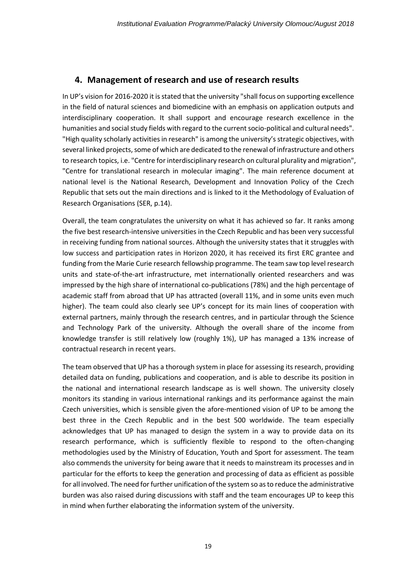## **4. Management of research and use of research results**

In UP's vision for 2016-2020 it is stated that the university "shall focus on supporting excellence in the field of natural sciences and biomedicine with an emphasis on application outputs and interdisciplinary cooperation. It shall support and encourage research excellence in the humanities and social study fields with regard to the current socio-political and cultural needs". "High quality scholarly activities in research" is among the university's strategic objectives, with several linked projects, some of which are dedicated to the renewal of infrastructure and others to research topics, i.e. "Centre for interdisciplinary research on cultural plurality and migration", "Centre for translational research in molecular imaging". The main reference document at national level is the National Research, Development and Innovation Policy of the Czech Republic that sets out the main directions and is linked to it the Methodology of Evaluation of Research Organisations (SER, p.14).

Overall, the team congratulates the university on what it has achieved so far. It ranks among the five best research-intensive universities in the Czech Republic and has been very successful in receiving funding from national sources. Although the university states that it struggles with low success and participation rates in Horizon 2020, it has received its first ERC grantee and funding from the Marie Curie research fellowship programme. The team saw top level research units and state-of-the-art infrastructure, met internationally oriented researchers and was impressed by the high share of international co-publications (78%) and the high percentage of academic staff from abroad that UP has attracted (overall 11%, and in some units even much higher). The team could also clearly see UP's concept for its main lines of cooperation with external partners, mainly through the research centres, and in particular through the Science and Technology Park of the university. Although the overall share of the income from knowledge transfer is still relatively low (roughly 1%), UP has managed a 13% increase of contractual research in recent years.

The team observed that UP has a thorough system in place for assessing its research, providing detailed data on funding, publications and cooperation, and is able to describe its position in the national and international research landscape as is well shown. The university closely monitors its standing in various international rankings and its performance against the main Czech universities, which is sensible given the afore-mentioned vision of UP to be among the best three in the Czech Republic and in the best 500 worldwide. The team especially acknowledges that UP has managed to design the system in a way to provide data on its research performance, which is sufficiently flexible to respond to the often-changing methodologies used by the Ministry of Education, Youth and Sport for assessment. The team also commends the university for being aware that it needs to mainstream its processes and in particular for the efforts to keep the generation and processing of data as efficient as possible for all involved. The need for further unification of the system so asto reduce the administrative burden was also raised during discussions with staff and the team encourages UP to keep this in mind when further elaborating the information system of the university.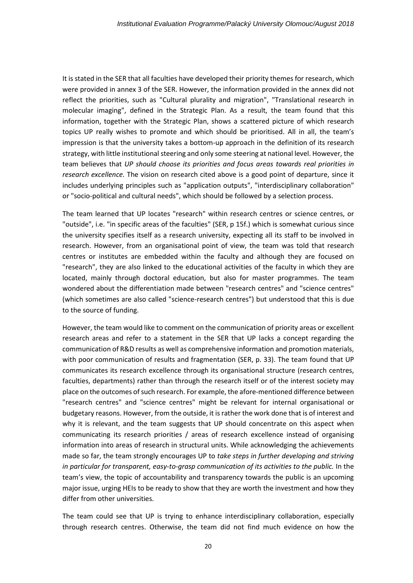It is stated in the SER that all faculties have developed their priority themes for research, which were provided in annex 3 of the SER. However, the information provided in the annex did not reflect the priorities, such as "Cultural plurality and migration", "Translational research in molecular imaging", defined in the Strategic Plan. As a result, the team found that this information, together with the Strategic Plan, shows a scattered picture of which research topics UP really wishes to promote and which should be prioritised. All in all, the team's impression is that the university takes a bottom-up approach in the definition of its research strategy, with little institutional steering and only some steering at national level. However, the team believes that *UP should choose its priorities and focus areas towards real priorities in research excellence.* The vision on research cited above is a good point of departure, since it includes underlying principles such as "application outputs", "interdisciplinary collaboration" or "socio-political and cultural needs", which should be followed by a selection process.

The team learned that UP locates "research" within research centres or science centres, or "outside", i.e. "in specific areas of the faculties" (SER, p 15f.) which is somewhat curious since the university specifies itself as a research university, expecting all its staff to be involved in research. However, from an organisational point of view, the team was told that research centres or institutes are embedded within the faculty and although they are focused on "research", they are also linked to the educational activities of the faculty in which they are located, mainly through doctoral education, but also for master programmes. The team wondered about the differentiation made between "research centres" and "science centres" (which sometimes are also called "science-research centres") but understood that this is due to the source of funding.

However, the team would like to comment on the communication of priority areas or excellent research areas and refer to a statement in the SER that UP lacks a concept regarding the communication of R&D results as well as comprehensive information and promotion materials, with poor communication of results and fragmentation (SER, p. 33). The team found that UP communicates its research excellence through its organisational structure (research centres, faculties, departments) rather than through the research itself or of the interest society may place on the outcomes of such research. For example, the afore-mentioned difference between "research centres" and "science centres" might be relevant for internal organisational or budgetary reasons. However, from the outside, it is rather the work done that is of interest and why it is relevant, and the team suggests that UP should concentrate on this aspect when communicating its research priorities / areas of research excellence instead of organising information into areas of research in structural units. While acknowledging the achievements made so far, the team strongly encourages UP to *take steps in further developing and striving in particular for transparent, easy-to-grasp communication of its activities to the public.* In the team's view, the topic of accountability and transparency towards the public is an upcoming major issue, urging HEIs to be ready to show that they are worth the investment and how they differ from other universities.

The team could see that UP is trying to enhance interdisciplinary collaboration, especially through research centres. Otherwise, the team did not find much evidence on how the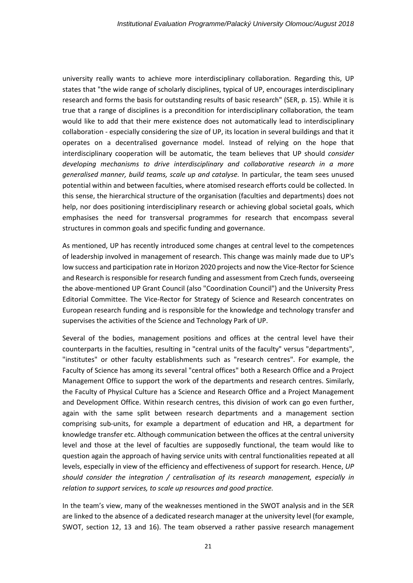university really wants to achieve more interdisciplinary collaboration. Regarding this, UP states that "the wide range of scholarly disciplines, typical of UP, encourages interdisciplinary research and forms the basis for outstanding results of basic research" (SER, p. 15). While it is true that a range of disciplines is a precondition for interdisciplinary collaboration, the team would like to add that their mere existence does not automatically lead to interdisciplinary collaboration - especially considering the size of UP, its location in several buildings and that it operates on a decentralised governance model. Instead of relying on the hope that interdisciplinary cooperation will be automatic, the team believes that UP should *consider developing mechanisms to drive interdisciplinary and collaborative research in a more generalised manner, build teams, scale up and catalyse.* In particular, the team sees unused potential within and between faculties, where atomised research efforts could be collected. In this sense, the hierarchical structure of the organisation (faculties and departments) does not help, nor does positioning interdisciplinary research or achieving global societal goals, which emphasises the need for transversal programmes for research that encompass several structures in common goals and specific funding and governance.

As mentioned, UP has recently introduced some changes at central level to the competences of leadership involved in management of research. This change was mainly made due to UP's low success and participation rate in Horizon 2020 projects and now the Vice-Rector for Science and Research is responsible for research funding and assessment from Czech funds, overseeing the above-mentioned UP Grant Council (also "Coordination Council") and the University Press Editorial Committee. The Vice-Rector for Strategy of Science and Research concentrates on European research funding and is responsible for the knowledge and technology transfer and supervises the activities of the Science and Technology Park of UP.

Several of the bodies, management positions and offices at the central level have their counterparts in the faculties, resulting in "central units of the faculty" versus "departments", "institutes" or other faculty establishments such as "research centres". For example, the Faculty of Science has among its several "central offices" both a Research Office and a Project Management Office to support the work of the departments and research centres. Similarly, the Faculty of Physical Culture has a Science and Research Office and a Project Management and Development Office. Within research centres, this division of work can go even further, again with the same split between research departments and a management section comprising sub-units, for example a department of education and HR, a department for knowledge transfer etc. Although communication between the offices at the central university level and those at the level of faculties are supposedly functional, the team would like to question again the approach of having service units with central functionalities repeated at all levels, especially in view of the efficiency and effectiveness of support for research. Hence, *UP should consider the integration / centralisation of its research management, especially in relation to support services, to scale up resources and good practice.* 

In the team's view, many of the weaknesses mentioned in the SWOT analysis and in the SER are linked to the absence of a dedicated research manager at the university level (for example, SWOT, section 12, 13 and 16). The team observed a rather passive research management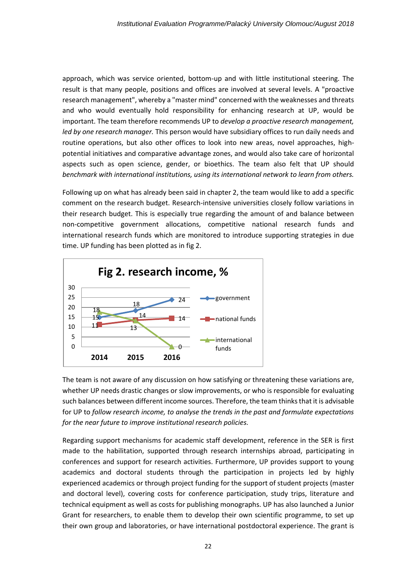approach, which was service oriented, bottom-up and with little institutional steering. The result is that many people, positions and offices are involved at several levels. A "proactive research management", whereby a "master mind" concerned with the weaknesses and threats and who would eventually hold responsibility for enhancing research at UP, would be important. The team therefore recommends UP to *develop a proactive research management, led by one research manager.* This person would have subsidiary offices to run daily needs and routine operations, but also other offices to look into new areas, novel approaches, highpotential initiatives and comparative advantage zones, and would also take care of horizontal aspects such as open science, gender, or bioethics. The team also felt that UP should *benchmark with international institutions, using its international network to learn from others.*

Following up on what has already been said in chapter 2, the team would like to add a specific comment on the research budget. Research-intensive universities closely follow variations in their research budget. This is especially true regarding the amount of and balance between non-competitive government allocations, competitive national research funds and international research funds which are monitored to introduce supporting strategies in due time. UP funding has been plotted as in fig 2.



The team is not aware of any discussion on how satisfying or threatening these variations are, whether UP needs drastic changes or slow improvements, or who is responsible for evaluating such balances between different income sources. Therefore, the team thinks that it is advisable for UP to *follow research income, to analyse the trends in the past and formulate expectations for the near future to improve institutional research policies.* 

Regarding support mechanisms for academic staff development, reference in the SER is first made to the habilitation, supported through research internships abroad, participating in conferences and support for research activities. Furthermore, UP provides support to young academics and doctoral students through the participation in projects led by highly experienced academics or through project funding for the support of student projects (master and doctoral level), covering costs for conference participation, study trips, literature and technical equipment as well as costs for publishing monographs. UP has also launched a Junior Grant for researchers, to enable them to develop their own scientific programme, to set up their own group and laboratories, or have international postdoctoral experience. The grant is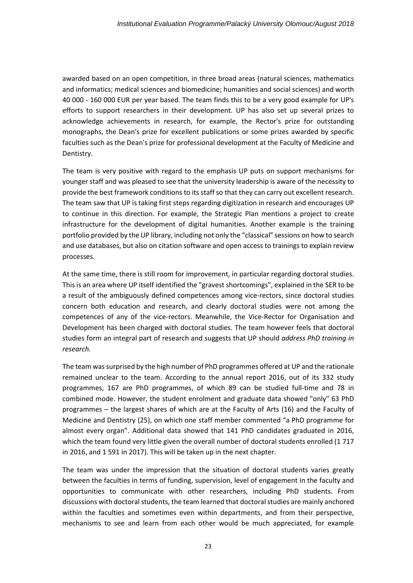awarded based on an open competition, in three broad areas (natural sciences, mathematics and informatics; medical sciences and biomedicine; humanities and social sciences) and worth 40 000 - 160 000 EUR per year based. The team finds this to be a very good example for UP's efforts to support researchers in their development. UP has also set up several prizes to acknowledge achievements in research, for example, the Rector's prize for outstanding monographs, the Dean's prize for excellent publications or some prizes awarded by specific faculties such as the Dean's prize for professional development at the Faculty of Medicine and Dentistry.

The team is very positive with regard to the emphasis UP puts on support mechanisms for younger staff and was pleased to see that the university leadership is aware of the necessity to provide the best framework conditions to its staff so that they can carry out excellent research. The team saw that UP is taking first steps regarding digitization in research and encourages UP to continue in this direction. For example, the Strategic Plan mentions a project to create infrastructure for the development of digital humanities. Another example is the training portfolio provided by the UP library, including not only the "classical" sessions on how to search and use databases, but also on citation software and open access to trainings to explain review processes.

At the same time, there is still room for improvement, in particular regarding doctoral studies. This is an area where UP itself identified the "gravest shortcomings", explained in the SER to be a result of the ambiguously defined competences among vice-rectors, since doctoral studies concern both education and research, and clearly doctoral studies were not among the competences of any of the vice-rectors. Meanwhile, the Vice-Rector for Organisation and Development has been charged with doctoral studies. The team however feels that doctoral studies form an integral part of research and suggests that UP should *address PhD training in research.*

The team was surprised by the high number of PhD programmes offered at UP and the rationale remained unclear to the team. According to the annual report 2016, out of its 332 study programmes, 167 are PhD programmes, of which 89 can be studied full-time and 78 in combined mode. However, the student enrolment and graduate data showed "only" 63 PhD programmes – the largest shares of which are at the Faculty of Arts (16) and the Faculty of Medicine and Dentistry (25), on which one staff member commented "a PhD programme for almost every organ". Additional data showed that 141 PhD candidates graduated in 2016, which the team found very little given the overall number of doctoral students enrolled (1 717 in 2016, and 1 591 in 2017). This will be taken up in the next chapter.

The team was under the impression that the situation of doctoral students varies greatly between the faculties in terms of funding, supervision, level of engagement in the faculty and opportunities to communicate with other researchers, including PhD students. From discussions with doctoral students, the team learned that doctoral studies are mainly anchored within the faculties and sometimes even within departments, and from their perspective, mechanisms to see and learn from each other would be much appreciated, for example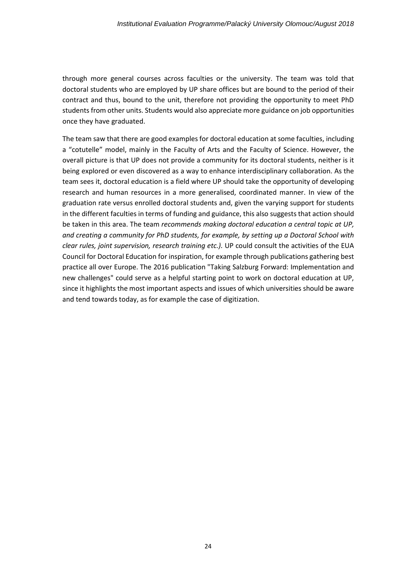through more general courses across faculties or the university. The team was told that doctoral students who are employed by UP share offices but are bound to the period of their contract and thus, bound to the unit, therefore not providing the opportunity to meet PhD students from other units. Students would also appreciate more guidance on job opportunities once they have graduated.

The team saw that there are good examples for doctoral education at some faculties, including a "cotutelle" model, mainly in the Faculty of Arts and the Faculty of Science. However, the overall picture is that UP does not provide a community for its doctoral students, neither is it being explored or even discovered as a way to enhance interdisciplinary collaboration. As the team sees it, doctoral education is a field where UP should take the opportunity of developing research and human resources in a more generalised, coordinated manner. In view of the graduation rate versus enrolled doctoral students and, given the varying support for students in the different faculties in terms of funding and guidance, this also suggests that action should be taken in this area. The team *recommends making doctoral education a central topic at UP, and creating a community for PhD students, for example, by setting up a Doctoral School with clear rules, joint supervision, research training etc.).* UP could consult the activities of the EUA Council for Doctoral Education for inspiration, for example through publications gathering best practice all over Europe. The 2016 publication "Taking Salzburg Forward: Implementation and new challenges" could serve as a helpful starting point to work on doctoral education at UP, since it highlights the most important aspects and issues of which universities should be aware and tend towards today, as for example the case of digitization.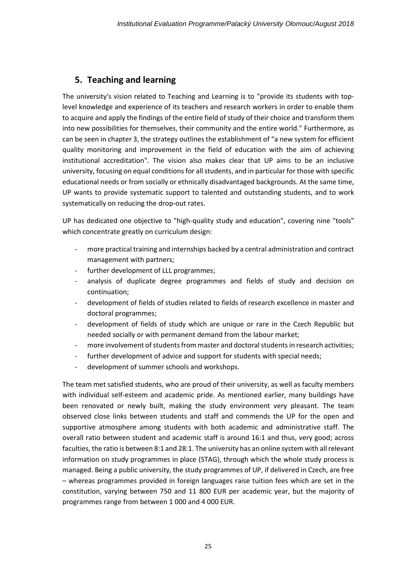## **5. Teaching and learning**

The university's vision related to Teaching and Learning is to "provide its students with toplevel knowledge and experience of its teachers and research workers in order to enable them to acquire and apply the findings of the entire field of study of their choice and transform them into new possibilities for themselves, their community and the entire world." Furthermore, as can be seen in chapter 3, the strategy outlines the establishment of "a new system for efficient quality monitoring and improvement in the field of education with the aim of achieving institutional accreditation". The vision also makes clear that UP aims to be an inclusive university, focusing on equal conditions for all students, and in particular for those with specific educational needs or from socially or ethnically disadvantaged backgrounds. At the same time, UP wants to provide systematic support to talented and outstanding students, and to work systematically on reducing the drop-out rates.

UP has dedicated one objective to "high-quality study and education", covering nine "tools" which concentrate greatly on curriculum design:

- more practical training and internships backed by a central administration and contract management with partners;
- further development of LLL programmes;
- analysis of duplicate degree programmes and fields of study and decision on continuation;
- development of fields of studies related to fields of research excellence in master and doctoral programmes;
- development of fields of study which are unique or rare in the Czech Republic but needed socially or with permanent demand from the labour market;
- more involvement of students from master and doctoral students in research activities;
- further development of advice and support for students with special needs;
- development of summer schools and workshops.

The team met satisfied students, who are proud of their university, as well as faculty members with individual self-esteem and academic pride. As mentioned earlier, many buildings have been renovated or newly built, making the study environment very pleasant. The team observed close links between students and staff and commends the UP for the open and supportive atmosphere among students with both academic and administrative staff. The overall ratio between student and academic staff is around 16:1 and thus, very good; across faculties, the ratio is between 8:1 and 28:1. The university has an online system with all relevant information on study programmes in place (STAG), through which the whole study process is managed. Being a public university, the study programmes of UP, if delivered in Czech, are free – whereas programmes provided in foreign languages raise tuition fees which are set in the constitution, varying between 750 and 11 800 EUR per academic year, but the majority of programmes range from between 1 000 and 4 000 EUR.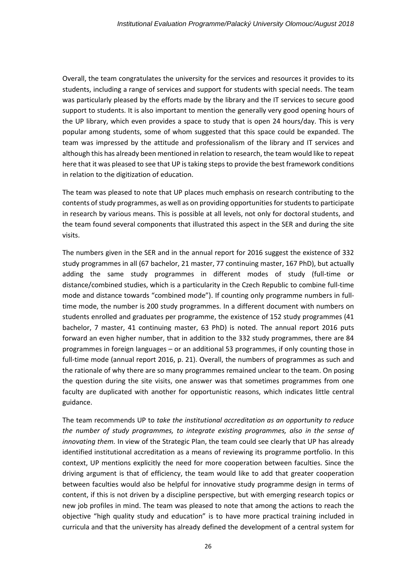Overall, the team congratulates the university for the services and resources it provides to its students, including a range of services and support for students with special needs. The team was particularly pleased by the efforts made by the library and the IT services to secure good support to students. It is also important to mention the generally very good opening hours of the UP library, which even provides a space to study that is open 24 hours/day. This is very popular among students, some of whom suggested that this space could be expanded. The team was impressed by the attitude and professionalism of the library and IT services and although this has already been mentioned in relation to research, the team would like to repeat here that it was pleased to see that UP is taking steps to provide the best framework conditions in relation to the digitization of education.

The team was pleased to note that UP places much emphasis on research contributing to the contents of study programmes, as well as on providing opportunities for students to participate in research by various means. This is possible at all levels, not only for doctoral students, and the team found several components that illustrated this aspect in the SER and during the site visits.

The numbers given in the SER and in the annual report for 2016 suggest the existence of 332 study programmes in all (67 bachelor, 21 master, 77 continuing master, 167 PhD), but actually adding the same study programmes in different modes of study (full-time or distance/combined studies, which is a particularity in the Czech Republic to combine full-time mode and distance towards "combined mode"). If counting only programme numbers in fulltime mode, the number is 200 study programmes. In a different document with numbers on students enrolled and graduates per programme, the existence of 152 study programmes (41 bachelor, 7 master, 41 continuing master, 63 PhD) is noted. The annual report 2016 puts forward an even higher number, that in addition to the 332 study programmes, there are 84 programmes in foreign languages – or an additional 53 programmes, if only counting those in full-time mode (annual report 2016, p. 21). Overall, the numbers of programmes as such and the rationale of why there are so many programmes remained unclear to the team. On posing the question during the site visits, one answer was that sometimes programmes from one faculty are duplicated with another for opportunistic reasons, which indicates little central guidance.

The team recommends UP to *take the institutional accreditation as an opportunity to reduce the number of study programmes, to integrate existing programmes, also in the sense of innovating them.* In view of the Strategic Plan, the team could see clearly that UP has already identified institutional accreditation as a means of reviewing its programme portfolio. In this context, UP mentions explicitly the need for more cooperation between faculties. Since the driving argument is that of efficiency, the team would like to add that greater cooperation between faculties would also be helpful for innovative study programme design in terms of content, if this is not driven by a discipline perspective, but with emerging research topics or new job profiles in mind. The team was pleased to note that among the actions to reach the objective "high quality study and education" is to have more practical training included in curricula and that the university has already defined the development of a central system for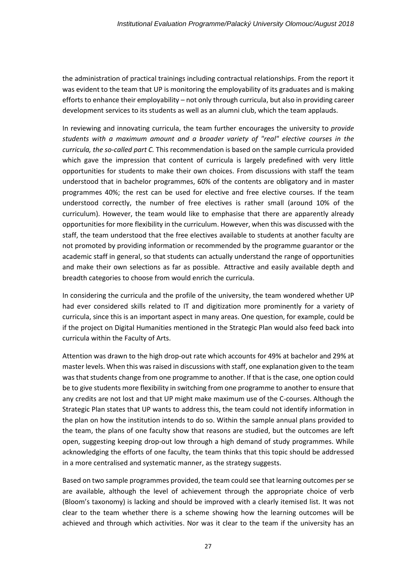the administration of practical trainings including contractual relationships. From the report it was evident to the team that UP is monitoring the employability of its graduates and is making efforts to enhance their employability – not only through curricula, but also in providing career development services to its students as well as an alumni club, which the team applauds.

In reviewing and innovating curricula, the team further encourages the university to *provide students with a maximum amount and a broader variety of "real" elective courses in the curricula, the so-called part C.* This recommendation is based on the sample curricula provided which gave the impression that content of curricula is largely predefined with very little opportunities for students to make their own choices. From discussions with staff the team understood that in bachelor programmes, 60% of the contents are obligatory and in master programmes 40%; the rest can be used for elective and free elective courses. If the team understood correctly, the number of free electives is rather small (around 10% of the curriculum). However, the team would like to emphasise that there are apparently already opportunities for more flexibility in the curriculum. However, when this was discussed with the staff, the team understood that the free electives available to students at another faculty are not promoted by providing information or recommended by the programme guarantor or the academic staff in general, so that students can actually understand the range of opportunities and make their own selections as far as possible. Attractive and easily available depth and breadth categories to choose from would enrich the curricula.

In considering the curricula and the profile of the university, the team wondered whether UP had ever considered skills related to IT and digitization more prominently for a variety of curricula, since this is an important aspect in many areas. One question, for example, could be if the project on Digital Humanities mentioned in the Strategic Plan would also feed back into curricula within the Faculty of Arts.

Attention was drawn to the high drop-out rate which accounts for 49% at bachelor and 29% at master levels. When this was raised in discussions with staff, one explanation given to the team was that students change from one programme to another. If that is the case, one option could be to give students more flexibility in switching from one programme to another to ensure that any credits are not lost and that UP might make maximum use of the C-courses. Although the Strategic Plan states that UP wants to address this, the team could not identify information in the plan on how the institution intends to do so. Within the sample annual plans provided to the team, the plans of one faculty show that reasons are studied, but the outcomes are left open, suggesting keeping drop-out low through a high demand of study programmes. While acknowledging the efforts of one faculty, the team thinks that this topic should be addressed in a more centralised and systematic manner, as the strategy suggests.

Based on two sample programmes provided, the team could see that learning outcomes per se are available, although the level of achievement through the appropriate choice of verb (Bloom's taxonomy) is lacking and should be improved with a clearly itemised list. It was not clear to the team whether there is a scheme showing how the learning outcomes will be achieved and through which activities. Nor was it clear to the team if the university has an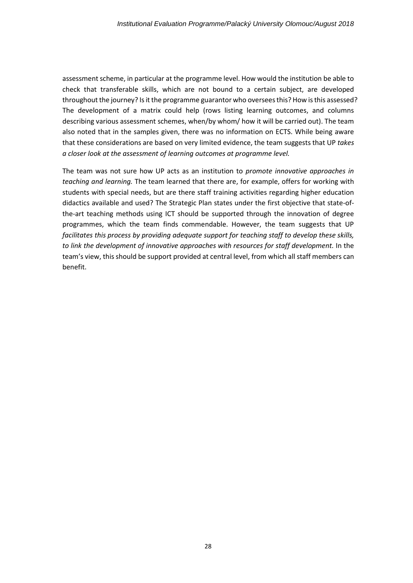assessment scheme, in particular at the programme level. How would the institution be able to check that transferable skills, which are not bound to a certain subject, are developed throughout the journey? Is it the programme guarantor who oversees this? How is this assessed? The development of a matrix could help (rows listing learning outcomes, and columns describing various assessment schemes, when/by whom/ how it will be carried out). The team also noted that in the samples given, there was no information on ECTS. While being aware that these considerations are based on very limited evidence, the team suggests that UP *takes a closer look at the assessment of learning outcomes at programme level.*

The team was not sure how UP acts as an institution to *promote innovative approaches in teaching and learning.* The team learned that there are, for example, offers for working with students with special needs, but are there staff training activities regarding higher education didactics available and used? The Strategic Plan states under the first objective that state-ofthe-art teaching methods using ICT should be supported through the innovation of degree programmes, which the team finds commendable. However, the team suggests that UP *facilitates this process by providing adequate support for teaching staff to develop these skills, to link the development of innovative approaches with resources for staff development.* In the team's view, this should be support provided at central level, from which all staff members can benefit.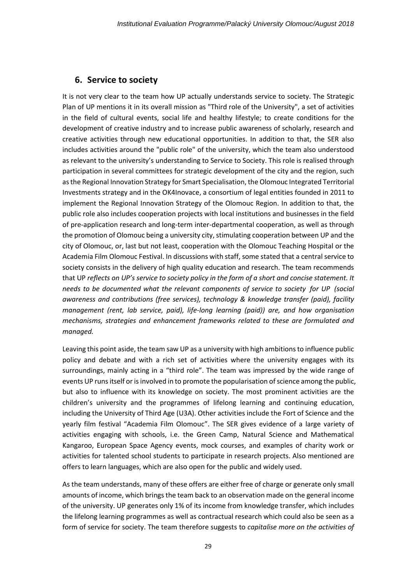### **6. Service to society**

It is not very clear to the team how UP actually understands service to society. The Strategic Plan of UP mentions it in its overall mission as "Third role of the University", a set of activities in the field of cultural events, social life and healthy lifestyle; to create conditions for the development of creative industry and to increase public awareness of scholarly, research and creative activities through new educational opportunities. In addition to that, the SER also includes activities around the "public role" of the university, which the team also understood as relevant to the university's understanding to Service to Society. This role is realised through participation in several committees for strategic development of the city and the region, such as the Regional Innovation Strategy for Smart Specialisation, the Olomouc Integrated Territorial Investments strategy and in the OK4Inovace, a consortium of legal entities founded in 2011 to implement the Regional Innovation Strategy of the Olomouc Region. In addition to that, the public role also includes cooperation projects with local institutions and businesses in the field of pre-application research and long-term inter-departmental cooperation, as well as through the promotion of Olomouc being a university city, stimulating cooperation between UP and the city of Olomouc, or, last but not least, cooperation with the Olomouc Teaching Hospital or the Academia Film Olomouc Festival. In discussions with staff, some stated that a central service to society consists in the delivery of high quality education and research. The team recommends that UP *reflects on UP's service to society policy in the form of a short and concise statement. It needs to be documented what the relevant components of service to society for UP (social awareness and contributions (free services), technology & knowledge transfer (paid), facility management (rent, lab service, paid), life-long learning (paid)) are, and how organisation mechanisms, strategies and enhancement frameworks related to these are formulated and managed.*

Leaving this point aside, the team saw UP as a university with high ambitionsto influence public policy and debate and with a rich set of activities where the university engages with its surroundings, mainly acting in a "third role". The team was impressed by the wide range of events UP runs itself or is involved in to promote the popularisation of science among the public, but also to influence with its knowledge on society. The most prominent activities are the children's university and the programmes of lifelong learning and continuing education, including the University of Third Age (U3A). Other activities include the Fort of Science and the yearly film festival "Academia Film Olomouc". The SER gives evidence of a large variety of activities engaging with schools, i.e. the Green Camp, Natural Science and Mathematical Kangaroo, European Space Agency events, mock courses, and examples of charity work or activities for talented school students to participate in research projects. Also mentioned are offers to learn languages, which are also open for the public and widely used.

As the team understands, many of these offers are either free of charge or generate only small amounts of income, which brings the team back to an observation made on the general income of the university. UP generates only 1% of its income from knowledge transfer, which includes the lifelong learning programmes as well as contractual research which could also be seen as a form of service for society. The team therefore suggests to *capitalise more on the activities of*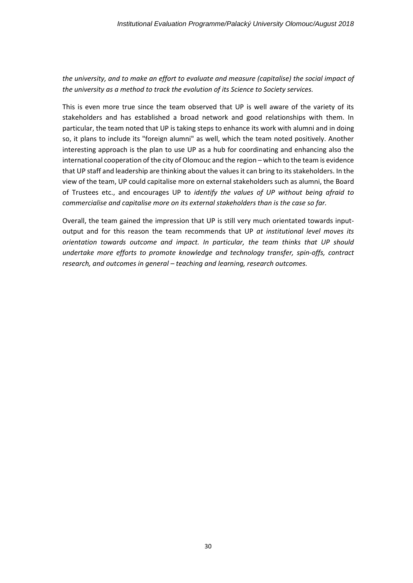### *the university, and to make an effort to evaluate and measure (capitalise) the social impact of the university as a method to track the evolution of its Science to Society services.*

This is even more true since the team observed that UP is well aware of the variety of its stakeholders and has established a broad network and good relationships with them. In particular, the team noted that UP is taking steps to enhance its work with alumni and in doing so, it plans to include its "foreign alumni" as well, which the team noted positively. Another interesting approach is the plan to use UP as a hub for coordinating and enhancing also the international cooperation of the city of Olomouc and the region – which to the team is evidence that UP staff and leadership are thinking about the values it can bring to its stakeholders. In the view of the team, UP could capitalise more on external stakeholders such as alumni, the Board of Trustees etc., and encourages UP to *identify the values of UP without being afraid to commercialise and capitalise more on its external stakeholders than is the case so far.* 

Overall, the team gained the impression that UP is still very much orientated towards inputoutput and for this reason the team recommends that UP *at institutional level moves its orientation towards outcome and impact. In particular, the team thinks that UP should undertake more efforts to promote knowledge and technology transfer, spin-offs, contract research, and outcomes in general – teaching and learning, research outcomes.*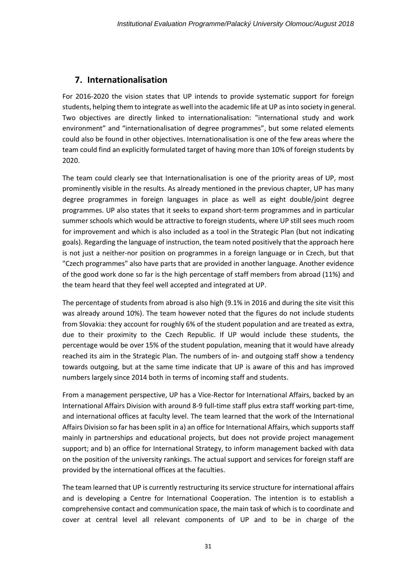## **7. Internationalisation**

For 2016-2020 the vision states that UP intends to provide systematic support for foreign students, helping them to integrate as well into the academic life at UP as into society in general. Two objectives are directly linked to internationalisation: "international study and work environment" and "internationalisation of degree programmes", but some related elements could also be found in other objectives. Internationalisation is one of the few areas where the team could find an explicitly formulated target of having more than 10% of foreign students by 2020.

The team could clearly see that Internationalisation is one of the priority areas of UP, most prominently visible in the results. As already mentioned in the previous chapter, UP has many degree programmes in foreign languages in place as well as eight double/joint degree programmes. UP also states that it seeks to expand short-term programmes and in particular summer schools which would be attractive to foreign students, where UP still sees much room for improvement and which is also included as a tool in the Strategic Plan (but not indicating goals). Regarding the language of instruction, the team noted positively that the approach here is not just a neither-nor position on programmes in a foreign language or in Czech, but that "Czech programmes" also have parts that are provided in another language. Another evidence of the good work done so far is the high percentage of staff members from abroad (11%) and the team heard that they feel well accepted and integrated at UP.

The percentage of students from abroad is also high (9.1% in 2016 and during the site visit this was already around 10%). The team however noted that the figures do not include students from Slovakia: they account for roughly 6% of the student population and are treated as extra, due to their proximity to the Czech Republic. If UP would include these students, the percentage would be over 15% of the student population, meaning that it would have already reached its aim in the Strategic Plan. The numbers of in- and outgoing staff show a tendency towards outgoing, but at the same time indicate that UP is aware of this and has improved numbers largely since 2014 both in terms of incoming staff and students.

From a management perspective, UP has a Vice-Rector for International Affairs, backed by an International Affairs Division with around 8-9 full-time staff plus extra staff working part-time, and international offices at faculty level. The team learned that the work of the International Affairs Division so far has been split in a) an office for International Affairs, which supports staff mainly in partnerships and educational projects, but does not provide project management support; and b) an office for International Strategy, to inform management backed with data on the position of the university rankings. The actual support and services for foreign staff are provided by the international offices at the faculties.

The team learned that UP is currently restructuring its service structure for international affairs and is developing a Centre for International Cooperation. The intention is to establish a comprehensive contact and communication space, the main task of which is to coordinate and cover at central level all relevant components of UP and to be in charge of the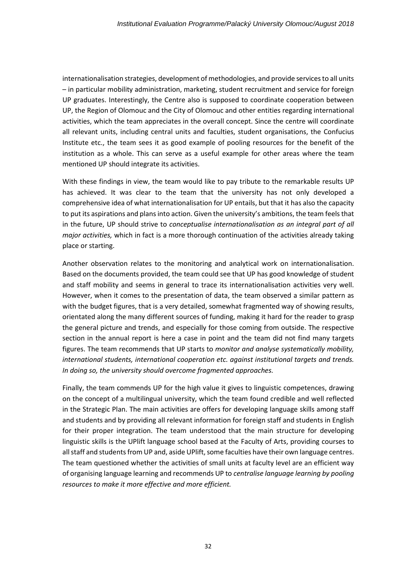internationalisation strategies, development of methodologies, and provide services to all units – in particular mobility administration, marketing, student recruitment and service for foreign UP graduates. Interestingly, the Centre also is supposed to coordinate cooperation between UP, the Region of Olomouc and the City of Olomouc and other entities regarding international activities, which the team appreciates in the overall concept. Since the centre will coordinate all relevant units, including central units and faculties, student organisations, the Confucius Institute etc., the team sees it as good example of pooling resources for the benefit of the institution as a whole. This can serve as a useful example for other areas where the team mentioned UP should integrate its activities.

With these findings in view, the team would like to pay tribute to the remarkable results UP has achieved. It was clear to the team that the university has not only developed a comprehensive idea of what internationalisation for UP entails, but that it has also the capacity to put its aspirations and plans into action. Given the university's ambitions, the team feels that in the future, UP should strive to *conceptualise internationalisation as an integral part of all major activities,* which in fact is a more thorough continuation of the activities already taking place or starting.

Another observation relates to the monitoring and analytical work on internationalisation. Based on the documents provided, the team could see that UP has good knowledge of student and staff mobility and seems in general to trace its internationalisation activities very well. However, when it comes to the presentation of data, the team observed a similar pattern as with the budget figures, that is a very detailed, somewhat fragmented way of showing results, orientated along the many different sources of funding, making it hard for the reader to grasp the general picture and trends, and especially for those coming from outside. The respective section in the annual report is here a case in point and the team did not find many targets figures. The team recommends that UP starts to *monitor and analyse systematically mobility, international students, international cooperation etc. against institutional targets and trends. In doing so, the university should overcome fragmented approaches.*

Finally, the team commends UP for the high value it gives to linguistic competences, drawing on the concept of a multilingual university, which the team found credible and well reflected in the Strategic Plan. The main activities are offers for developing language skills among staff and students and by providing all relevant information for foreign staff and students in English for their proper integration. The team understood that the main structure for developing linguistic skills is the UPlift language school based at the Faculty of Arts, providing courses to all staff and students from UP and, aside UPlift, some faculties have their own language centres. The team questioned whether the activities of small units at faculty level are an efficient way of organising language learning and recommends UP to *centralise language learning by pooling resources to make it more effective and more efficient.*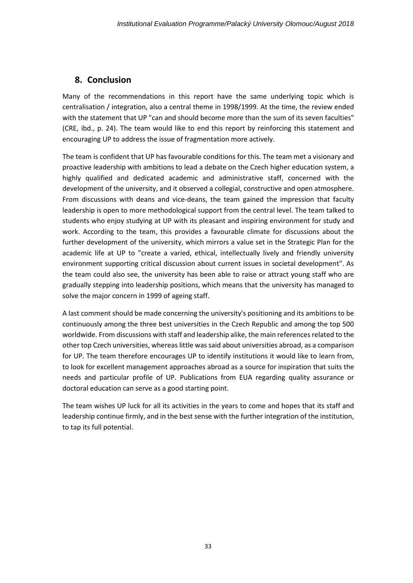## **8. Conclusion**

Many of the recommendations in this report have the same underlying topic which is centralisation / integration, also a central theme in 1998/1999. At the time, the review ended with the statement that UP "can and should become more than the sum of its seven faculties" (CRE, ibd., p. 24). The team would like to end this report by reinforcing this statement and encouraging UP to address the issue of fragmentation more actively.

The team is confident that UP has favourable conditions for this. The team met a visionary and proactive leadership with ambitions to lead a debate on the Czech higher education system, a highly qualified and dedicated academic and administrative staff, concerned with the development of the university, and it observed a collegial, constructive and open atmosphere. From discussions with deans and vice-deans, the team gained the impression that faculty leadership is open to more methodological support from the central level. The team talked to students who enjoy studying at UP with its pleasant and inspiring environment for study and work. According to the team, this provides a favourable climate for discussions about the further development of the university, which mirrors a value set in the Strategic Plan for the academic life at UP to "create a varied, ethical, intellectually lively and friendly university environment supporting critical discussion about current issues in societal development". As the team could also see, the university has been able to raise or attract young staff who are gradually stepping into leadership positions, which means that the university has managed to solve the major concern in 1999 of ageing staff.

A last comment should be made concerning the university's positioning and its ambitions to be continuously among the three best universities in the Czech Republic and among the top 500 worldwide. From discussions with staff and leadership alike, the main references related to the other top Czech universities, whereas little was said about universities abroad, as a comparison for UP. The team therefore encourages UP to identify institutions it would like to learn from, to look for excellent management approaches abroad as a source for inspiration that suits the needs and particular profile of UP. Publications from EUA regarding quality assurance or doctoral education can serve as a good starting point.

The team wishes UP luck for all its activities in the years to come and hopes that its staff and leadership continue firmly, and in the best sense with the further integration of the institution, to tap its full potential.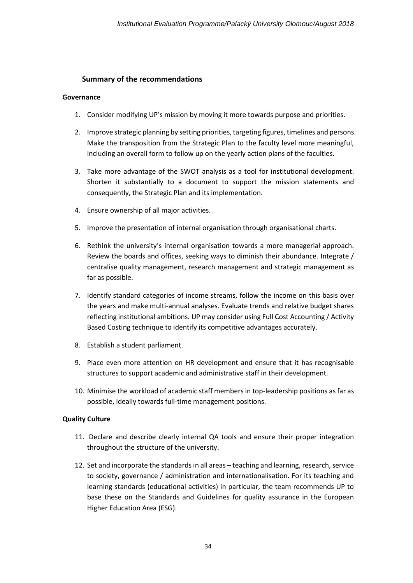### **Summary of the recommendations**

### **Governance**

- 1. Consider modifying UP's mission by moving it more towards purpose and priorities.
- 2. Improve strategic planning by setting priorities, targeting figures, timelines and persons. Make the transposition from the Strategic Plan to the faculty level more meaningful, including an overall form to follow up on the yearly action plans of the faculties.
- 3. Take more advantage of the SWOT analysis as a tool for institutional development. Shorten it substantially to a document to support the mission statements and consequently, the Strategic Plan and its implementation.
- 4. Ensure ownership of all major activities.
- 5. Improve the presentation of internal organisation through organisational charts.
- 6. Rethink the university's internal organisation towards a more managerial approach. Review the boards and offices, seeking ways to diminish their abundance. Integrate / centralise quality management, research management and strategic management as far as possible.
- 7. Identify standard categories of income streams, follow the income on this basis over the years and make multi-annual analyses. Evaluate trends and relative budget shares reflecting institutional ambitions. UP may consider using Full Cost Accounting / Activity Based Costing technique to identify its competitive advantages accurately.
- 8. Establish a student parliament.
- 9. Place even more attention on HR development and ensure that it has recognisable structures to support academic and administrative staff in their development.
- 10. Minimise the workload of academic staff members in top-leadership positions as far as possible, ideally towards full-time management positions.

### **Quality Culture**

- 11. Declare and describe clearly internal QA tools and ensure their proper integration throughout the structure of the university.
- 12. Set and incorporate the standards in all areas teaching and learning, research, service to society, governance / administration and internationalisation. For its teaching and learning standards (educational activities) in particular, the team recommends UP to base these on the Standards and Guidelines for quality assurance in the European Higher Education Area (ESG).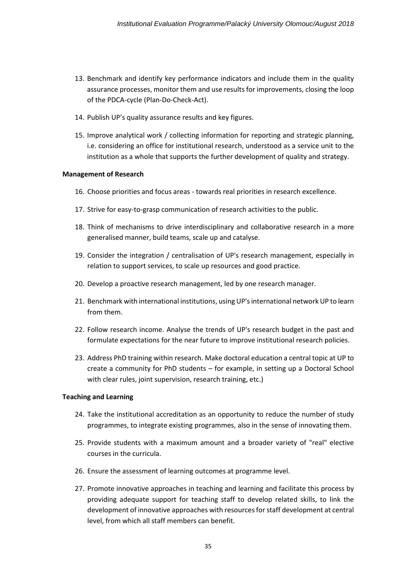- 13. Benchmark and identify key performance indicators and include them in the quality assurance processes, monitor them and use results for improvements, closing the loop of the PDCA-cycle (Plan-Do-Check-Act).
- 14. Publish UP's quality assurance results and key figures.
- 15. Improve analytical work / collecting information for reporting and strategic planning, i.e. considering an office for institutional research, understood as a service unit to the institution as a whole that supports the further development of quality and strategy.

### **Management of Research**

- 16. Choose priorities and focus areas towards real priorities in research excellence.
- 17. Strive for easy-to-grasp communication of research activities to the public.
- 18. Think of mechanisms to drive interdisciplinary and collaborative research in a more generalised manner, build teams, scale up and catalyse.
- 19. Consider the integration / centralisation of UP's research management, especially in relation to support services, to scale up resources and good practice.
- 20. Develop a proactive research management, led by one research manager.
- 21. Benchmark with international institutions, using UP's international network UP to learn from them.
- 22. Follow research income. Analyse the trends of UP's research budget in the past and formulate expectations for the near future to improve institutional research policies.
- 23. Address PhD training within research. Make doctoral education a central topic at UP to create a community for PhD students – for example, in setting up a Doctoral School with clear rules, joint supervision, research training, etc.)

### **Teaching and Learning**

- 24. Take the institutional accreditation as an opportunity to reduce the number of study programmes, to integrate existing programmes, also in the sense of innovating them.
- 25. Provide students with a maximum amount and a broader variety of "real" elective courses in the curricula.
- 26. Ensure the assessment of learning outcomes at programme level.
- 27. Promote innovative approaches in teaching and learning and facilitate this process by providing adequate support for teaching staff to develop related skills, to link the development of innovative approaches with resources for staff development at central level, from which all staff members can benefit.